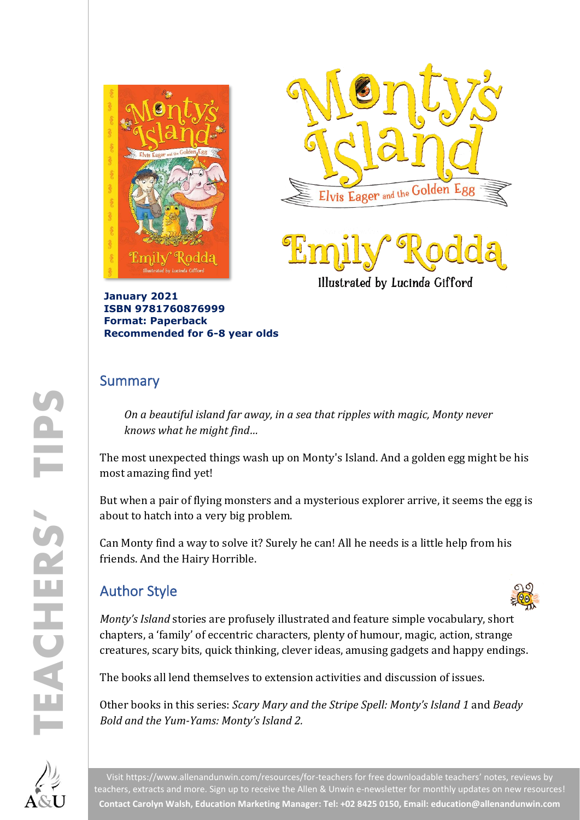



Illustrated by Lucinda Gifford

**January 2021 ISBN 9781760876999 Format: Paperback Recommended for 6-8 year olds**

### Summary

*On a beautiful island far away, in a sea that ripples with magic, Monty never knows what he might find…*

The most unexpected things wash up on Monty's Island. And a golden egg might be his most amazing find yet!

But when a pair of flying monsters and a mysterious explorer arrive, it seems the egg is about to hatch into a very big problem.

Can Monty find a way to solve it? Surely he can! All he needs is a little help from his friends. And the Hairy Horrible.

## Author Style



*Monty's Island* stories are profusely illustrated and feature simple vocabulary, short chapters, a 'family' of eccentric characters, plenty of humour, magic, action, strange creatures, scary bits, quick thinking, clever ideas, amusing gadgets and happy endings.

The books all lend themselves to extension activities and discussion of issues.

Other books in this series: *Scary Mary and the Stripe Spell: Monty's Island 1* and *Beady Bold and the Yum-Yams: Monty's Island 2.*



Visit<https://www.allenandunwin.com/resources/for-teachers> for free downloadable teachers' notes, reviews by teachers, extracts and more. Sign up to receive the Allen & Unwin e-newsletter for monthly updates on new resources! **Contact Carolyn Walsh, Education Marketing Manager: Tel: +02 8425 0150, Email[: education@allenandunwin.com](mailto:education@allenandunwin.com)**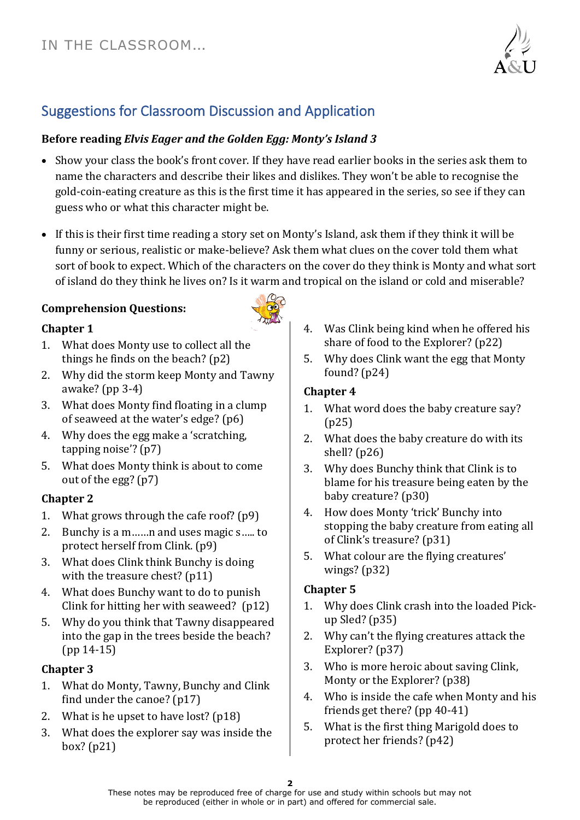

# Suggestions for Classroom Discussion and Application

#### **Before reading** *Elvis Eager and the Golden Egg: Monty's Island 3*

- Show your class the book's front cover. If they have read earlier books in the series ask them to name the characters and describe their likes and dislikes. They won't be able to recognise the gold-coin-eating creature as this is the first time it has appeared in the series, so see if they can guess who or what this character might be.
- If this is their first time reading a story set on Monty's Island, ask them if they think it will be funny or serious, realistic or make-believe? Ask them what clues on the cover told them what sort of book to expect. Which of the characters on the cover do they think is Monty and what sort of island do they think he lives on? Is it warm and tropical on the island or cold and miserable?

#### **Comprehension Questions:**



- 1. What does Monty use to collect all the things he finds on the beach? (p2)
- 2. Why did the storm keep Monty and Tawny awake? (pp 3-4)
- 3. What does Monty find floating in a clump of seaweed at the water's edge? (p6)
- 4. Why does the egg make a 'scratching, tapping noise'? (p7)
- 5. What does Monty think is about to come out of the egg? (p7)

#### **Chapter 2**

- 1. What grows through the cafe roof? (p9)
- 2. Bunchy is a m……n and uses magic s….. to protect herself from Clink. (p9)
- 3. What does Clink think Bunchy is doing with the treasure chest? (p11)
- 4. What does Bunchy want to do to punish Clink for hitting her with seaweed? (p12)
- 5. Why do you think that Tawny disappeared into the gap in the trees beside the beach? (pp 14-15)

#### **Chapter 3**

- 1. What do Monty, Tawny, Bunchy and Clink find under the canoe? (p17)
- 2. What is he upset to have lost? (p18)
- 3. What does the explorer say was inside the box? (p21)



5. Why does Clink want the egg that Monty found? (p24)

#### **Chapter 4**

- 1. What word does the baby creature say? (p25)
- 2. What does the baby creature do with its shell? (p26)
- 3. Why does Bunchy think that Clink is to blame for his treasure being eaten by the baby creature? (p30)
- 4. How does Monty 'trick' Bunchy into stopping the baby creature from eating all of Clink's treasure? (p31)
- 5. What colour are the flying creatures' wings? (p32)

#### **Chapter 5**

- 1. Why does Clink crash into the loaded Pickup Sled? (p35)
- 2. Why can't the flying creatures attack the Explorer? (p37)
- 3. Who is more heroic about saving Clink, Monty or the Explorer? (p38)
- 4. Who is inside the cafe when Monty and his friends get there? (pp 40-41)
- 5. What is the first thing Marigold does to protect her friends? (p42)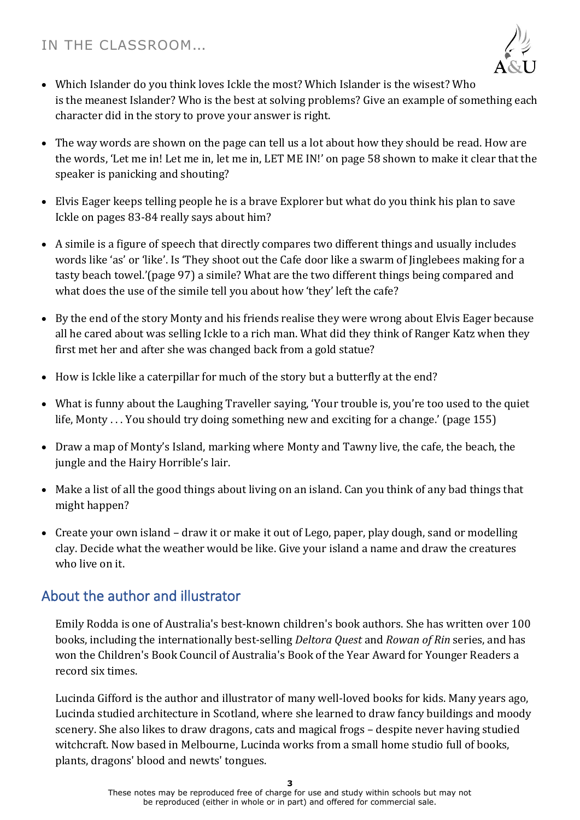

- Which Islander do you think loves Ickle the most? Which Islander is the wisest? Who is the meanest Islander? Who is the best at solving problems? Give an example of something each character did in the story to prove your answer is right.
- The way words are shown on the page can tell us a lot about how they should be read. How are the words, 'Let me in! Let me in, let me in, LET ME IN!' on page 58 shown to make it clear that the speaker is panicking and shouting?
- Elvis Eager keeps telling people he is a brave Explorer but what do you think his plan to save Ickle on pages 83-84 really says about him?
- A simile is a figure of speech that directly compares two different things and usually includes words like 'as' or 'like'. Is 'They shoot out the Cafe door like a swarm of Jinglebees making for a tasty beach towel.'(page 97) a simile? What are the two different things being compared and what does the use of the simile tell you about how 'they' left the cafe?
- By the end of the story Monty and his friends realise they were wrong about Elvis Eager because all he cared about was selling Ickle to a rich man. What did they think of Ranger Katz when they first met her and after she was changed back from a gold statue?
- How is Ickle like a caterpillar for much of the story but a butterfly at the end?
- What is funny about the Laughing Traveller saying, 'Your trouble is, you're too used to the quiet life, Monty . . . You should try doing something new and exciting for a change.' (page 155)
- Draw a map of Monty's Island, marking where Monty and Tawny live, the cafe, the beach, the jungle and the Hairy Horrible's lair.
- Make a list of all the good things about living on an island. Can you think of any bad things that might happen?
- Create your own island draw it or make it out of Lego, paper, play dough, sand or modelling clay. Decide what the weather would be like. Give your island a name and draw the creatures who live on it.

## About the author and illustrator

Emily Rodda is one of Australia's best-known children's book authors. She has written over 100 books, including the internationally best-selling *Deltora Quest* and *Rowan of Rin* series, and has won the Children's Book Council of Australia's Book of the Year Award for Younger Readers a record six times.

Lucinda Gifford is the author and illustrator of many well-loved books for kids. Many years ago, Lucinda studied architecture in Scotland, where she learned to draw fancy buildings and moody scenery. She also likes to draw dragons, cats and magical frogs – despite never having studied witchcraft. Now based in Melbourne, Lucinda works from a small home studio full of books, plants, dragons' blood and newts' tongues.